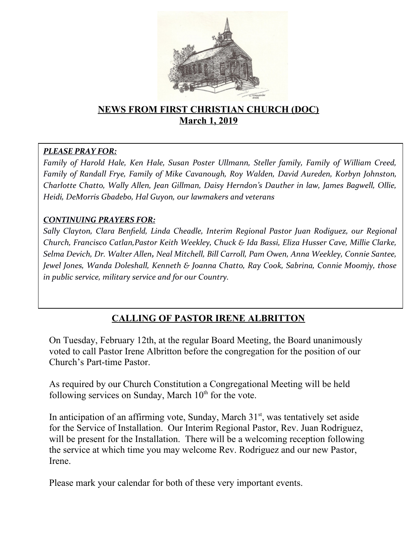

# **NEWS FROM FIRST CHRISTIAN CHURCH (DOC) March 1, 2019**

#### *PLEASE PRAY FOR:*

*Family of Harold Hale, Ken Hale, Susan Poster Ullmann, Steller family, Family of William Creed, Family of Randall Frye, Family of Mike Cavanough, Roy Walden, David Aureden, Korbyn Johnston, Charlotte Chatto, Wally Allen, Jean Gillman, Daisy Herndon's Dauther in law, James Bagwell, Ollie, Heidi, DeMorris Gbadebo, Hal Guyon, our lawmakers and veterans*

#### *CONTINUING PRAYERS FOR:*

*Sally Clayton, Clara Benfeld, Linda Cheadle, Interim Regional Pastor Juan R0diguez, our Regional Church, Francisco Catlan,Pastor Keith Weekley, Chuck & Ida Bassi, Eliza Husser Cave, Millie Clarke, Selma Devich, Dr. Walter Allen, Neal Mitchell, Bill Carroll, Pam Owen, Anna Weekley, Connie Santee, Jewel Jones, Wanda Doleshall, Kenneth & Joanna Chatto, Ray Cook, Sabrina, Connie Moomjy, those in public service, military service and for our Country.* 

# **CALLING OF PASTOR IRENE ALBRITTON**

On Tuesday, February 12th, at the regular Board Meeting, the Board unanimously voted to call Pastor Irene Albritton before the congregation for the position of our Church's Part-time Pastor.

As required by our Church Constitution a Congregational Meeting will be held following services on Sunday, March  $10<sup>th</sup>$  for the vote.

In anticipation of an affirming vote, Sunday, March  $31<sup>st</sup>$ , was tentatively set aside for the Service of Installation. Our Interim Regional Pastor, Rev. Juan Rodriguez, will be present for the Installation. There will be a welcoming reception following the service at which time you may welcome Rev. Rodriguez and our new Pastor, Irene.

Please mark your calendar for both of these very important events.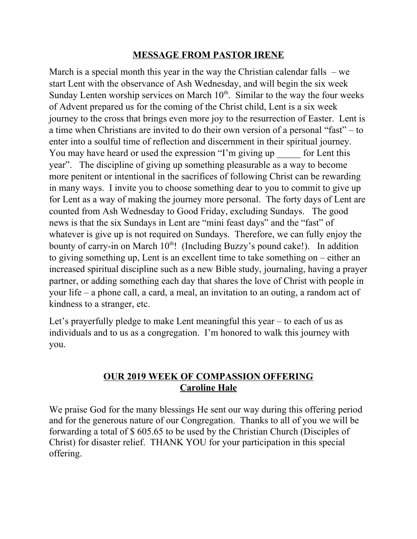#### **MESSAGE FROM PASTOR IRENE**

March is a special month this year in the way the Christian calendar falls – we start Lent with the observance of Ash Wednesday, and will begin the six week Sunday Lenten worship services on March  $10<sup>th</sup>$ . Similar to the way the four weeks of Advent prepared us for the coming of the Christ child, Lent is a six week journey to the cross that brings even more joy to the resurrection of Easter. Lent is a time when Christians are invited to do their own version of a personal "fast" – to enter into a soulful time of reflection and discernment in their spiritual journey. You may have heard or used the expression "I'm giving up for Lent this year". The discipline of giving up something pleasurable as a way to become more penitent or intentional in the sacrifices of following Christ can be rewarding in many ways. I invite you to choose something dear to you to commit to give up for Lent as a way of making the journey more personal. The forty days of Lent are counted from Ash Wednesday to Good Friday, excluding Sundays. The good news is that the six Sundays in Lent are "mini feast days" and the "fast" of whatever is give up is not required on Sundays. Therefore, we can fully enjoy the bounty of carry-in on March  $10<sup>th</sup>$ ! (Including Buzzy's pound cake!). In addition to giving something up, Lent is an excellent time to take something on – either an increased spiritual discipline such as a new Bible study, journaling, having a prayer partner, or adding something each day that shares the love of Christ with people in your life – a phone call, a card, a meal, an invitation to an outing, a random act of kindness to a stranger, etc.

Let's prayerfully pledge to make Lent meaningful this year – to each of us as individuals and to us as a congregation. I'm honored to walk this journey with you.

#### **OUR 2019 WEEK OF COMPASSION OFFERING Caroline Hale**

We praise God for the many blessings He sent our way during this offering period and for the generous nature of our Congregation. Thanks to all of you we will be forwarding a total of \$ 605.65 to be used by the Christian Church (Disciples of Christ) for disaster relief. THANK YOU for your participation in this special offering.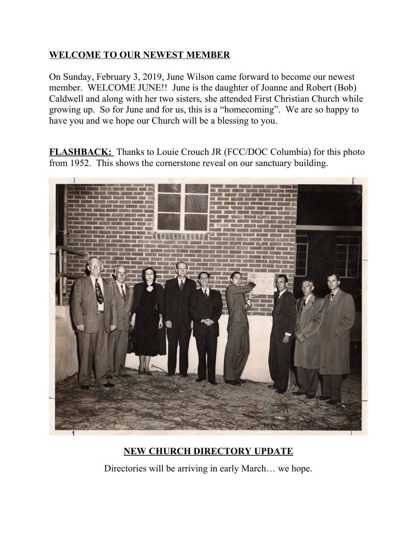# **WELCOME TO OUR NEWEST MEMBER**

On Sunday, February 3, 2019, June Wilson came forward to become our newest member. WELCOME JUNE!! June is the daughter of Joanne and Robert (Bob) Caldwell and along with her two sisters, she attended First Christian Church while growing up. So for June and for us, this is a "homecoming". We are so happy to have you and we hope our Church will be a blessing to you.

**FLASHBACK:** Thanks to Louie Crouch JR (FCC/DOC Columbia) for this photo from 1952. This shows the cornerstone reveal on our sanctuary building.



# **NEW CHURCH DIRECTORY UPDATE**

Directories will be arriving in early March… we hope.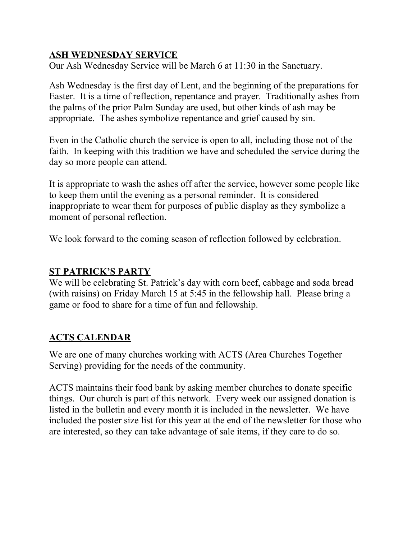## **ASH WEDNESDAY SERVICE**

Our Ash Wednesday Service will be March 6 at 11:30 in the Sanctuary.

Ash Wednesday is the first day of Lent, and the beginning of the preparations for Easter. It is a time of reflection, repentance and prayer. Traditionally ashes from the palms of the prior Palm Sunday are used, but other kinds of ash may be appropriate. The ashes symbolize repentance and grief caused by sin.

Even in the Catholic church the service is open to all, including those not of the faith. In keeping with this tradition we have and scheduled the service during the day so more people can attend.

It is appropriate to wash the ashes off after the service, however some people like to keep them until the evening as a personal reminder. It is considered inappropriate to wear them for purposes of public display as they symbolize a moment of personal reflection.

We look forward to the coming season of reflection followed by celebration.

#### **ST PATRICK'S PARTY**

We will be celebrating St. Patrick's day with corn beef, cabbage and soda bread (with raisins) on Friday March 15 at 5:45 in the fellowship hall. Please bring a game or food to share for a time of fun and fellowship.

# **ACTS CALENDAR**

We are one of many churches working with ACTS (Area Churches Together Serving) providing for the needs of the community.

ACTS maintains their food bank by asking member churches to donate specific things. Our church is part of this network. Every week our assigned donation is listed in the bulletin and every month it is included in the newsletter. We have included the poster size list for this year at the end of the newsletter for those who are interested, so they can take advantage of sale items, if they care to do so.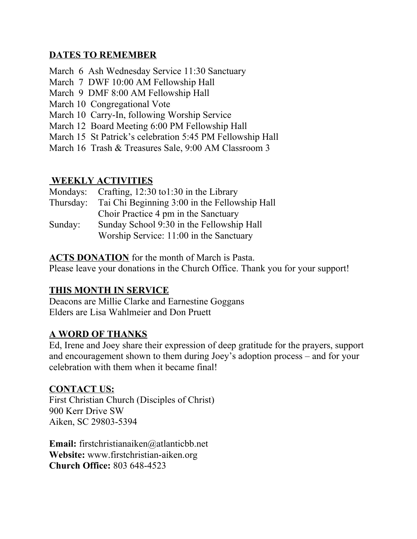## **DATES TO REMEMBER**

- March 6 Ash Wednesday Service 11:30 Sanctuary
- March 7 DWF 10:00 AM Fellowship Hall
- March 9 DMF 8:00 AM Fellowship Hall
- March 10 Congregational Vote
- March 10 Carry-In, following Worship Service
- March 12 Board Meeting 6:00 PM Fellowship Hall
- March 15 St Patrick's celebration 5:45 PM Fellowship Hall
- March 16 Trash & Treasures Sale, 9:00 AM Classroom 3

#### **WEEKLY ACTIVITIES**

|           | Mondays: Crafting, 12:30 to 1:30 in the Library |
|-----------|-------------------------------------------------|
| Thursday: | Tai Chi Beginning 3:00 in the Fellowship Hall   |
|           | Choir Practice 4 pm in the Sanctuary            |
| Sunday:   | Sunday School 9:30 in the Fellowship Hall       |
|           | Worship Service: 11:00 in the Sanctuary         |

**ACTS DONATION** for the month of March is Pasta.

Please leave your donations in the Church Office. Thank you for your support!

# **THIS MONTH IN SERVICE**

Deacons are Millie Clarke and Earnestine Goggans Elders are Lisa Wahlmeier and Don Pruett

# **A WORD OF THANKS**

Ed, Irene and Joey share their expression of deep gratitude for the prayers, support and encouragement shown to them during Joey's adoption process – and for your celebration with them when it became final!

#### **CONTACT US:**

First Christian Church (Disciples of Christ) 900 Kerr Drive SW Aiken, SC 29803-5394

**Email:** [firstchristianaiken@atlanticbb.net](mailto:firstchristianaiken@atlanticbb.net) **Website:** www.firstchristian-aiken.org **Church Office:** 803 648-4523